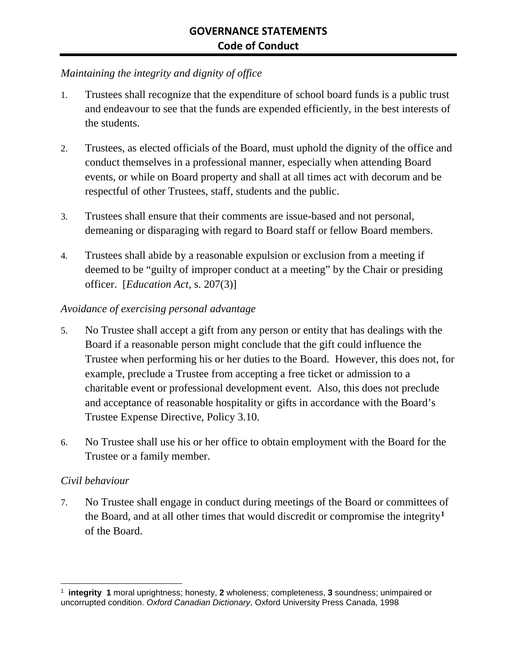## *Maintaining the integrity and dignity of office*

- 1. Trustees shall recognize that the expenditure of school board funds is a public trust and endeavour to see that the funds are expended efficiently, in the best interests of the students.
- 2. Trustees, as elected officials of the Board, must uphold the dignity of the office and conduct themselves in a professional manner, especially when attending Board events, or while on Board property and shall at all times act with decorum and be respectful of other Trustees, staff, students and the public.
- 3. Trustees shall ensure that their comments are issue-based and not personal, demeaning or disparaging with regard to Board staff or fellow Board members.
- 4. Trustees shall abide by a reasonable expulsion or exclusion from a meeting if deemed to be "guilty of improper conduct at a meeting" by the Chair or presiding officer. [*Education Act*, s. 207(3)]

#### *Avoidance of exercising personal advantage*

- 5. No Trustee shall accept a gift from any person or entity that has dealings with the Board if a reasonable person might conclude that the gift could influence the Trustee when performing his or her duties to the Board. However, this does not, for example, preclude a Trustee from accepting a free ticket or admission to a charitable event or professional development event. Also, this does not preclude and acceptance of reasonable hospitality or gifts in accordance with the Board's Trustee Expense Directive, Policy 3.10.
- 6. No Trustee shall use his or her office to obtain employment with the Board for the Trustee or a family member.

#### *Civil behaviour*

7. No Trustee shall engage in conduct during meetings of the Board or committees of the Board, and at all other times that would discredit or compromise the integrity**[1](#page-0-0)** of the Board.

<span id="page-0-0"></span> <sup>1</sup> **integrity 1** moral uprightness; honesty, **<sup>2</sup>** wholeness; completeness, **<sup>3</sup>** soundness; unimpaired or uncorrupted condition. *Oxford Canadian Dictionary*, Oxford University Press Canada, 1998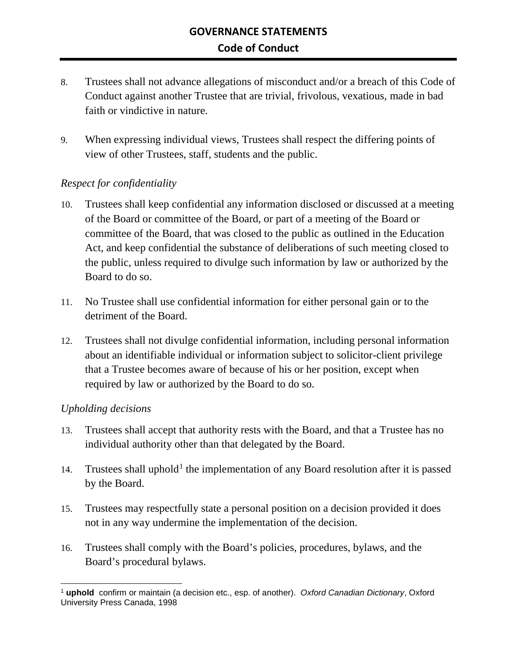- 8. Trustees shall not advance allegations of misconduct and/or a breach of this Code of Conduct against another Trustee that are trivial, frivolous, vexatious, made in bad faith or vindictive in nature.
- 9. When expressing individual views, Trustees shall respect the differing points of view of other Trustees, staff, students and the public.

### *Respect for confidentiality*

- 10. Trustees shall keep confidential any information disclosed or discussed at a meeting of the Board or committee of the Board, or part of a meeting of the Board or committee of the Board, that was closed to the public as outlined in the Education Act, and keep confidential the substance of deliberations of such meeting closed to the public, unless required to divulge such information by law or authorized by the Board to do so.
- 11. No Trustee shall use confidential information for either personal gain or to the detriment of the Board.
- 12. Trustees shall not divulge confidential information, including personal information about an identifiable individual or information subject to solicitor-client privilege that a Trustee becomes aware of because of his or her position, except when required by law or authorized by the Board to do so.

#### *Upholding decisions*

- 13. Trustees shall accept that authority rests with the Board, and that a Trustee has no individual authority other than that delegated by the Board.
- [1](#page-1-0)4. Trustees shall uphold<sup>1</sup> the implementation of any Board resolution after it is passed by the Board.
- 15. Trustees may respectfully state a personal position on a decision provided it does not in any way undermine the implementation of the decision.
- 16. Trustees shall comply with the Board's policies, procedures, bylaws, and the Board's procedural bylaws.

<span id="page-1-0"></span> <sup>1</sup> **uphold** confirm or maintain (a decision etc., esp. of another). *Oxford Canadian Dictionary*, Oxford University Press Canada, 1998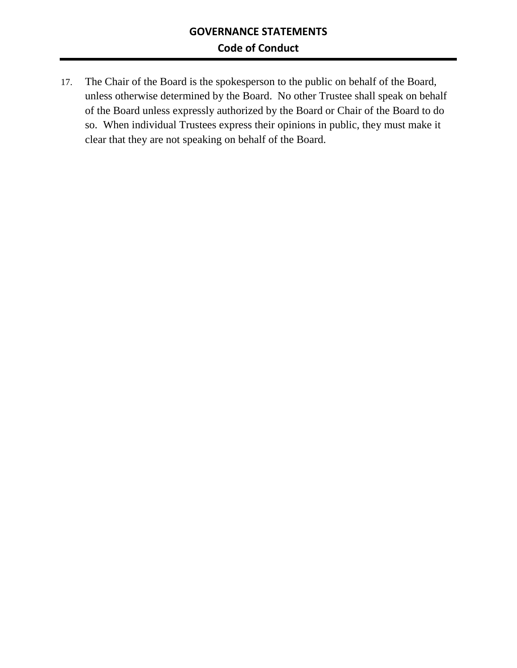17. The Chair of the Board is the spokesperson to the public on behalf of the Board, unless otherwise determined by the Board. No other Trustee shall speak on behalf of the Board unless expressly authorized by the Board or Chair of the Board to do so. When individual Trustees express their opinions in public, they must make it clear that they are not speaking on behalf of the Board.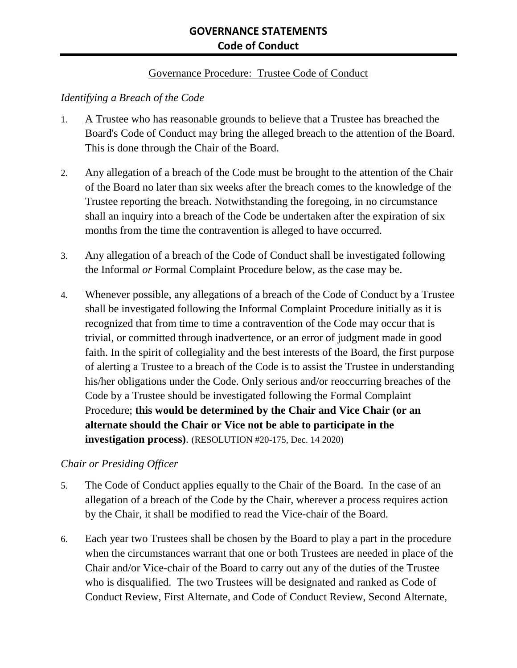### Governance Procedure: Trustee Code of Conduct

### *Identifying a Breach of the Code*

- 1. A Trustee who has reasonable grounds to believe that a Trustee has breached the Board's Code of Conduct may bring the alleged breach to the attention of the Board. This is done through the Chair of the Board.
- 2. Any allegation of a breach of the Code must be brought to the attention of the Chair of the Board no later than six weeks after the breach comes to the knowledge of the Trustee reporting the breach. Notwithstanding the foregoing, in no circumstance shall an inquiry into a breach of the Code be undertaken after the expiration of six months from the time the contravention is alleged to have occurred.
- 3. Any allegation of a breach of the Code of Conduct shall be investigated following the Informal *or* Formal Complaint Procedure below, as the case may be.
- 4. Whenever possible, any allegations of a breach of the Code of Conduct by a Trustee shall be investigated following the Informal Complaint Procedure initially as it is recognized that from time to time a contravention of the Code may occur that is trivial, or committed through inadvertence, or an error of judgment made in good faith. In the spirit of collegiality and the best interests of the Board, the first purpose of alerting a Trustee to a breach of the Code is to assist the Trustee in understanding his/her obligations under the Code. Only serious and/or reoccurring breaches of the Code by a Trustee should be investigated following the Formal Complaint Procedure; **this would be determined by the Chair and Vice Chair (or an alternate should the Chair or Vice not be able to participate in the investigation process)**. (RESOLUTION #20-175, Dec. 14 2020)

#### *Chair or Presiding Officer*

- 5. The Code of Conduct applies equally to the Chair of the Board. In the case of an allegation of a breach of the Code by the Chair, wherever a process requires action by the Chair, it shall be modified to read the Vice-chair of the Board.
- 6. Each year two Trustees shall be chosen by the Board to play a part in the procedure when the circumstances warrant that one or both Trustees are needed in place of the Chair and/or Vice-chair of the Board to carry out any of the duties of the Trustee who is disqualified. The two Trustees will be designated and ranked as Code of Conduct Review, First Alternate, and Code of Conduct Review, Second Alternate,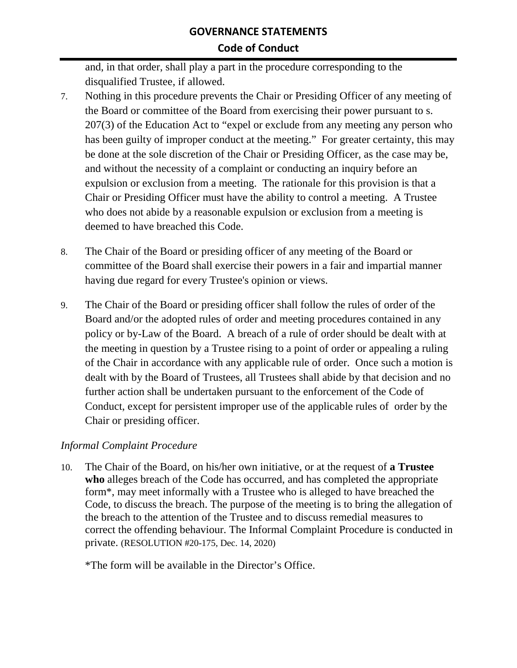and, in that order, shall play a part in the procedure corresponding to the disqualified Trustee, if allowed.

- 7. Nothing in this procedure prevents the Chair or Presiding Officer of any meeting of the Board or committee of the Board from exercising their power pursuant to s. 207(3) of the Education Act to "expel or exclude from any meeting any person who has been guilty of improper conduct at the meeting." For greater certainty, this may be done at the sole discretion of the Chair or Presiding Officer, as the case may be, and without the necessity of a complaint or conducting an inquiry before an expulsion or exclusion from a meeting. The rationale for this provision is that a Chair or Presiding Officer must have the ability to control a meeting. A Trustee who does not abide by a reasonable expulsion or exclusion from a meeting is deemed to have breached this Code.
- 8. The Chair of the Board or presiding officer of any meeting of the Board or committee of the Board shall exercise their powers in a fair and impartial manner having due regard for every Trustee's opinion or views.
- 9. The Chair of the Board or presiding officer shall follow the rules of order of the Board and/or the adopted rules of order and meeting procedures contained in any policy or by-Law of the Board. A breach of a rule of order should be dealt with at the meeting in question by a Trustee rising to a point of order or appealing a ruling of the Chair in accordance with any applicable rule of order. Once such a motion is dealt with by the Board of Trustees, all Trustees shall abide by that decision and no further action shall be undertaken pursuant to the enforcement of the Code of Conduct, except for persistent improper use of the applicable rules of order by the Chair or presiding officer.

## *Informal Complaint Procedure*

10. The Chair of the Board, on his/her own initiative, or at the request of **a Trustee who** alleges breach of the Code has occurred, and has completed the appropriate form\*, may meet informally with a Trustee who is alleged to have breached the Code, to discuss the breach. The purpose of the meeting is to bring the allegation of the breach to the attention of the Trustee and to discuss remedial measures to correct the offending behaviour. The Informal Complaint Procedure is conducted in private. (RESOLUTION #20-175, Dec. 14, 2020)

\*The form will be available in the Director's Office.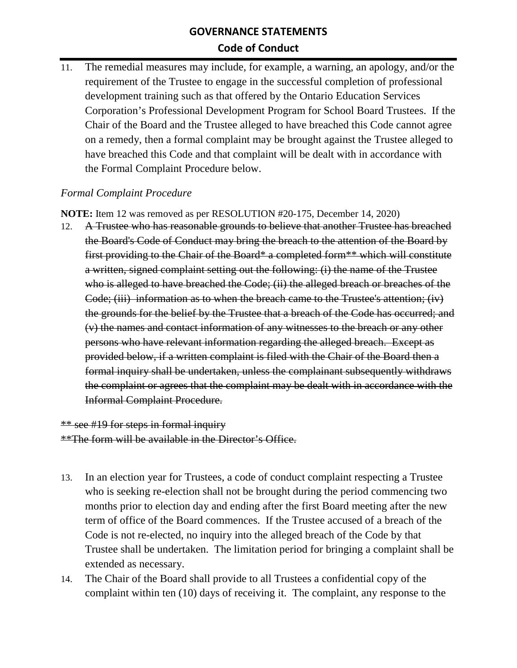11. The remedial measures may include, for example, a warning, an apology, and/or the requirement of the Trustee to engage in the successful completion of professional development training such as that offered by the Ontario Education Services Corporation's Professional Development Program for School Board Trustees. If the Chair of the Board and the Trustee alleged to have breached this Code cannot agree on a remedy, then a formal complaint may be brought against the Trustee alleged to have breached this Code and that complaint will be dealt with in accordance with the Formal Complaint Procedure below.

### *Formal Complaint Procedure*

**NOTE:** Item 12 was removed as per RESOLUTION #20-175, December 14, 2020)

12. A Trustee who has reasonable grounds to believe that another Trustee has breached the Board's Code of Conduct may bring the breach to the attention of the Board by first providing to the Chair of the Board\* a completed form\*\* which will constitute a written, signed complaint setting out the following: (i) the name of the Trustee who is alleged to have breached the Code; (ii) the alleged breach or breaches of the Code; (iii) information as to when the breach came to the Trustee's attention; (iv) the grounds for the belief by the Trustee that a breach of the Code has occurred; and (v) the names and contact information of any witnesses to the breach or any other persons who have relevant information regarding the alleged breach. Except as provided below, if a written complaint is filed with the Chair of the Board then a formal inquiry shall be undertaken, unless the complainant subsequently withdraws the complaint or agrees that the complaint may be dealt with in accordance with the Informal Complaint Procedure.

# \*\* see #19 for steps in formal inquiry \*\*The form will be available in the Director's Office.

- 13. In an election year for Trustees, a code of conduct complaint respecting a Trustee who is seeking re-election shall not be brought during the period commencing two months prior to election day and ending after the first Board meeting after the new term of office of the Board commences. If the Trustee accused of a breach of the Code is not re-elected, no inquiry into the alleged breach of the Code by that Trustee shall be undertaken. The limitation period for bringing a complaint shall be extended as necessary.
- 14. The Chair of the Board shall provide to all Trustees a confidential copy of the complaint within ten (10) days of receiving it. The complaint, any response to the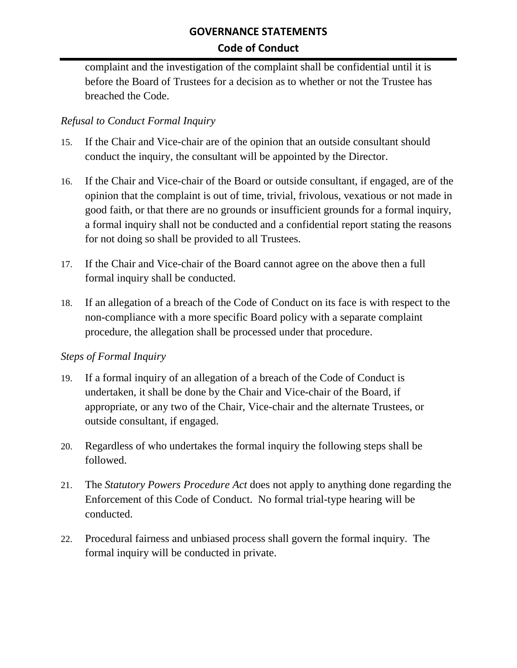complaint and the investigation of the complaint shall be confidential until it is before the Board of Trustees for a decision as to whether or not the Trustee has breached the Code.

### *Refusal to Conduct Formal Inquiry*

- 15. If the Chair and Vice-chair are of the opinion that an outside consultant should conduct the inquiry, the consultant will be appointed by the Director.
- 16. If the Chair and Vice-chair of the Board or outside consultant, if engaged, are of the opinion that the complaint is out of time, trivial, frivolous, vexatious or not made in good faith, or that there are no grounds or insufficient grounds for a formal inquiry, a formal inquiry shall not be conducted and a confidential report stating the reasons for not doing so shall be provided to all Trustees.
- 17. If the Chair and Vice-chair of the Board cannot agree on the above then a full formal inquiry shall be conducted.
- 18. If an allegation of a breach of the Code of Conduct on its face is with respect to the non-compliance with a more specific Board policy with a separate complaint procedure, the allegation shall be processed under that procedure.

## *Steps of Formal Inquiry*

- 19. If a formal inquiry of an allegation of a breach of the Code of Conduct is undertaken, it shall be done by the Chair and Vice-chair of the Board, if appropriate, or any two of the Chair, Vice-chair and the alternate Trustees, or outside consultant, if engaged.
- 20. Regardless of who undertakes the formal inquiry the following steps shall be followed.
- 21. The *Statutory Powers Procedure Act* does not apply to anything done regarding the Enforcement of this Code of Conduct. No formal trial-type hearing will be conducted.
- 22. Procedural fairness and unbiased process shall govern the formal inquiry. The formal inquiry will be conducted in private.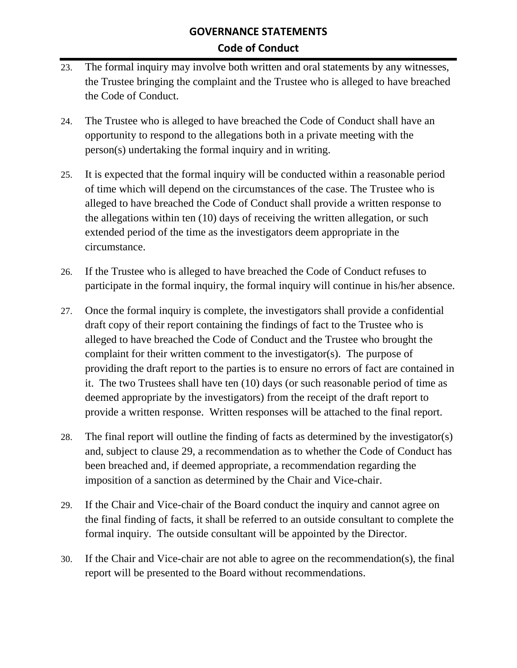- 23. The formal inquiry may involve both written and oral statements by any witnesses, the Trustee bringing the complaint and the Trustee who is alleged to have breached the Code of Conduct.
- 24. The Trustee who is alleged to have breached the Code of Conduct shall have an opportunity to respond to the allegations both in a private meeting with the person(s) undertaking the formal inquiry and in writing.
- 25. It is expected that the formal inquiry will be conducted within a reasonable period of time which will depend on the circumstances of the case. The Trustee who is alleged to have breached the Code of Conduct shall provide a written response to the allegations within ten (10) days of receiving the written allegation, or such extended period of the time as the investigators deem appropriate in the circumstance.
- 26. If the Trustee who is alleged to have breached the Code of Conduct refuses to participate in the formal inquiry, the formal inquiry will continue in his/her absence.
- 27. Once the formal inquiry is complete, the investigators shall provide a confidential draft copy of their report containing the findings of fact to the Trustee who is alleged to have breached the Code of Conduct and the Trustee who brought the complaint for their written comment to the investigator(s). The purpose of providing the draft report to the parties is to ensure no errors of fact are contained in it. The two Trustees shall have ten (10) days (or such reasonable period of time as deemed appropriate by the investigators) from the receipt of the draft report to provide a written response. Written responses will be attached to the final report.
- 28. The final report will outline the finding of facts as determined by the investigator(s) and, subject to clause 29, a recommendation as to whether the Code of Conduct has been breached and, if deemed appropriate, a recommendation regarding the imposition of a sanction as determined by the Chair and Vice-chair.
- 29. If the Chair and Vice-chair of the Board conduct the inquiry and cannot agree on the final finding of facts, it shall be referred to an outside consultant to complete the formal inquiry. The outside consultant will be appointed by the Director.
- 30. If the Chair and Vice-chair are not able to agree on the recommendation(s), the final report will be presented to the Board without recommendations.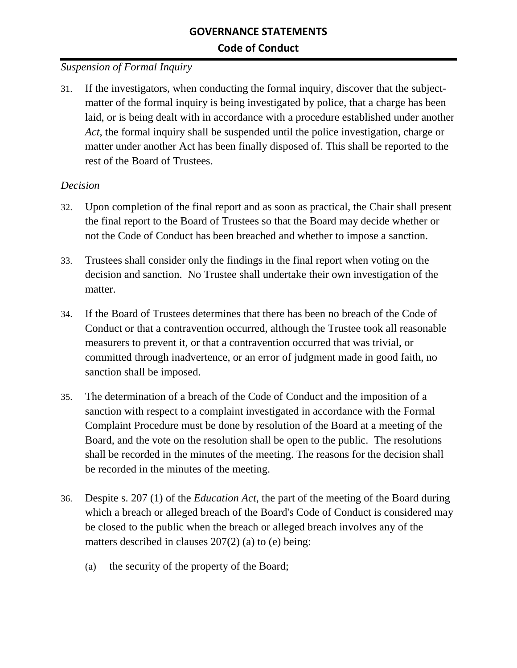### *Suspension of Formal Inquiry*

31. If the investigators, when conducting the formal inquiry, discover that the subjectmatter of the formal inquiry is being investigated by police, that a charge has been laid, or is being dealt with in accordance with a procedure established under another *Act*, the formal inquiry shall be suspended until the police investigation, charge or matter under another Act has been finally disposed of. This shall be reported to the rest of the Board of Trustees.

#### *Decision*

- 32. Upon completion of the final report and as soon as practical, the Chair shall present the final report to the Board of Trustees so that the Board may decide whether or not the Code of Conduct has been breached and whether to impose a sanction.
- 33. Trustees shall consider only the findings in the final report when voting on the decision and sanction. No Trustee shall undertake their own investigation of the matter.
- 34. If the Board of Trustees determines that there has been no breach of the Code of Conduct or that a contravention occurred, although the Trustee took all reasonable measurers to prevent it, or that a contravention occurred that was trivial, or committed through inadvertence, or an error of judgment made in good faith, no sanction shall be imposed.
- 35. The determination of a breach of the Code of Conduct and the imposition of a sanction with respect to a complaint investigated in accordance with the Formal Complaint Procedure must be done by resolution of the Board at a meeting of the Board, and the vote on the resolution shall be open to the public. The resolutions shall be recorded in the minutes of the meeting. The reasons for the decision shall be recorded in the minutes of the meeting.
- 36. Despite s. 207 (1) of the *Education Act*, the part of the meeting of the Board during which a breach or alleged breach of the Board's Code of Conduct is considered may be closed to the public when the breach or alleged breach involves any of the matters described in clauses 207(2) (a) to (e) being:
	- (a) the security of the property of the Board;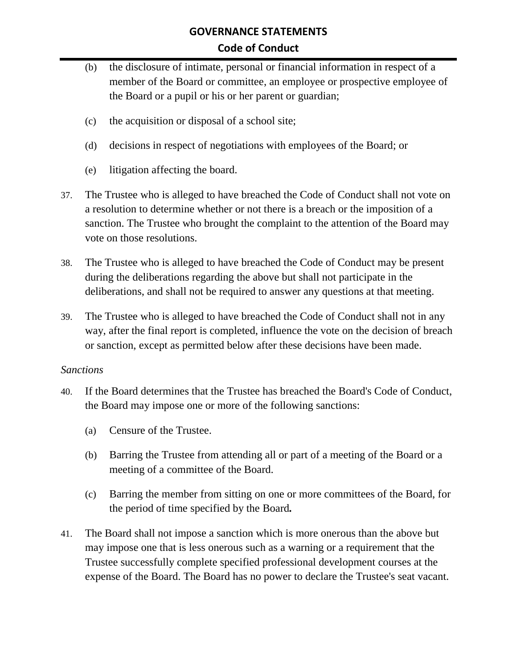- (b) the disclosure of intimate, personal or financial information in respect of a member of the Board or committee, an employee or prospective employee of the Board or a pupil or his or her parent or guardian;
- (c) the acquisition or disposal of a school site;
- (d) decisions in respect of negotiations with employees of the Board; or
- (e) litigation affecting the board.
- 37. The Trustee who is alleged to have breached the Code of Conduct shall not vote on a resolution to determine whether or not there is a breach or the imposition of a sanction. The Trustee who brought the complaint to the attention of the Board may vote on those resolutions.
- 38. The Trustee who is alleged to have breached the Code of Conduct may be present during the deliberations regarding the above but shall not participate in the deliberations, and shall not be required to answer any questions at that meeting.
- 39. The Trustee who is alleged to have breached the Code of Conduct shall not in any way, after the final report is completed, influence the vote on the decision of breach or sanction, except as permitted below after these decisions have been made.

#### *Sanctions*

- 40. If the Board determines that the Trustee has breached the Board's Code of Conduct, the Board may impose one or more of the following sanctions:
	- (a) Censure of the Trustee.
	- (b) Barring the Trustee from attending all or part of a meeting of the Board or a meeting of a committee of the Board.
	- (c) Barring the member from sitting on one or more committees of the Board, for the period of time specified by the Board*.*
- 41. The Board shall not impose a sanction which is more onerous than the above but may impose one that is less onerous such as a warning or a requirement that the Trustee successfully complete specified professional development courses at the expense of the Board. The Board has no power to declare the Trustee's seat vacant.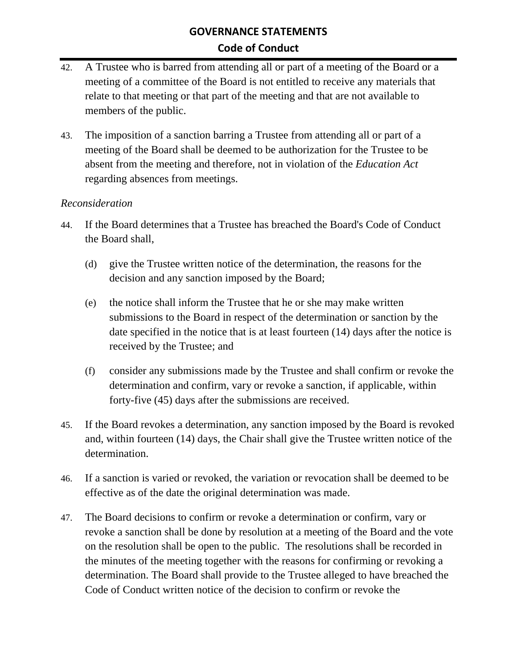- 42. A Trustee who is barred from attending all or part of a meeting of the Board or a meeting of a committee of the Board is not entitled to receive any materials that relate to that meeting or that part of the meeting and that are not available to members of the public.
- 43. The imposition of a sanction barring a Trustee from attending all or part of a meeting of the Board shall be deemed to be authorization for the Trustee to be absent from the meeting and therefore, not in violation of the *Education Act* regarding absences from meetings.

#### *Reconsideration*

- 44. If the Board determines that a Trustee has breached the Board's Code of Conduct the Board shall,
	- (d) give the Trustee written notice of the determination, the reasons for the decision and any sanction imposed by the Board;
	- (e) the notice shall inform the Trustee that he or she may make written submissions to the Board in respect of the determination or sanction by the date specified in the notice that is at least fourteen (14) days after the notice is received by the Trustee; and
	- (f) consider any submissions made by the Trustee and shall confirm or revoke the determination and confirm, vary or revoke a sanction, if applicable, within forty-five (45) days after the submissions are received.
- 45. If the Board revokes a determination, any sanction imposed by the Board is revoked and, within fourteen (14) days, the Chair shall give the Trustee written notice of the determination.
- 46. If a sanction is varied or revoked, the variation or revocation shall be deemed to be effective as of the date the original determination was made.
- 47. The Board decisions to confirm or revoke a determination or confirm, vary or revoke a sanction shall be done by resolution at a meeting of the Board and the vote on the resolution shall be open to the public. The resolutions shall be recorded in the minutes of the meeting together with the reasons for confirming or revoking a determination. The Board shall provide to the Trustee alleged to have breached the Code of Conduct written notice of the decision to confirm or revoke the